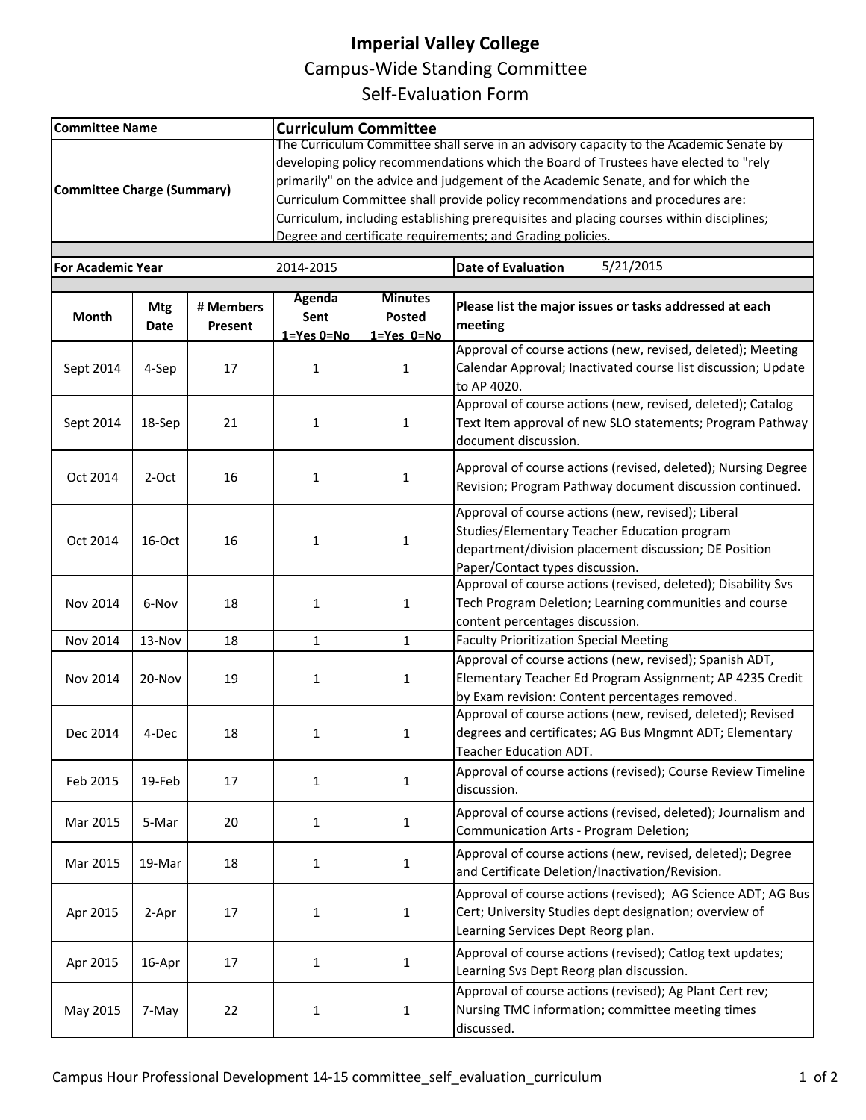## **Imperial Valley College**

Campus‐Wide Standing Committee

Self‐Evaluation Form

| <b>Committee Name</b>             |            |           | <b>Curriculum Committee</b>                                                              |                |                                                               |  |  |  |  |  |
|-----------------------------------|------------|-----------|------------------------------------------------------------------------------------------|----------------|---------------------------------------------------------------|--|--|--|--|--|
|                                   |            |           | The Curriculum Committee shall serve in an advisory capacity to the Academic Senate by   |                |                                                               |  |  |  |  |  |
|                                   |            |           | developing policy recommendations which the Board of Trustees have elected to "rely      |                |                                                               |  |  |  |  |  |
|                                   |            |           | primarily" on the advice and judgement of the Academic Senate, and for which the         |                |                                                               |  |  |  |  |  |
| <b>Committee Charge (Summary)</b> |            |           | Curriculum Committee shall provide policy recommendations and procedures are:            |                |                                                               |  |  |  |  |  |
|                                   |            |           | Curriculum, including establishing prerequisites and placing courses within disciplines; |                |                                                               |  |  |  |  |  |
|                                   |            |           | Degree and certificate requirements: and Grading policies.                               |                |                                                               |  |  |  |  |  |
|                                   |            |           |                                                                                          |                |                                                               |  |  |  |  |  |
| <b>For Academic Year</b>          |            |           | 2014-2015                                                                                |                | 5/21/2015<br><b>Date of Evaluation</b>                        |  |  |  |  |  |
|                                   |            |           | <b>Agenda</b>                                                                            | <b>Minutes</b> |                                                               |  |  |  |  |  |
| <b>Month</b>                      | <b>Mtg</b> | # Members | Sent                                                                                     | Posted         | Please list the major issues or tasks addressed at each       |  |  |  |  |  |
|                                   | Date       | Present   | $1 = Yes$ $0 = No$                                                                       | 1=Yes 0=No     | meeting                                                       |  |  |  |  |  |
|                                   |            |           |                                                                                          |                | Approval of course actions (new, revised, deleted); Meeting   |  |  |  |  |  |
| Sept 2014                         | 4-Sep      | 17        | $\mathbf{1}$                                                                             | $\mathbf{1}$   | Calendar Approval; Inactivated course list discussion; Update |  |  |  |  |  |
|                                   |            |           |                                                                                          |                | to AP 4020.                                                   |  |  |  |  |  |
|                                   |            |           |                                                                                          |                | Approval of course actions (new, revised, deleted); Catalog   |  |  |  |  |  |
| Sept 2014                         | 18-Sep     | 21        | 1                                                                                        | $\mathbf{1}$   | Text Item approval of new SLO statements; Program Pathway     |  |  |  |  |  |
|                                   |            |           |                                                                                          |                | document discussion.                                          |  |  |  |  |  |
|                                   |            |           |                                                                                          |                |                                                               |  |  |  |  |  |
|                                   |            |           |                                                                                          |                | Approval of course actions (revised, deleted); Nursing Degree |  |  |  |  |  |
| Oct 2014                          | 2-Oct      | 16        | 1                                                                                        | $\mathbf{1}$   | Revision; Program Pathway document discussion continued.      |  |  |  |  |  |
|                                   |            |           |                                                                                          |                | Approval of course actions (new, revised); Liberal            |  |  |  |  |  |
|                                   |            |           |                                                                                          |                |                                                               |  |  |  |  |  |
| Oct 2014                          | 16-Oct     | 16        | 1                                                                                        | $\mathbf{1}$   | Studies/Elementary Teacher Education program                  |  |  |  |  |  |
|                                   |            |           |                                                                                          |                | department/division placement discussion; DE Position         |  |  |  |  |  |
|                                   |            |           |                                                                                          |                | Paper/Contact types discussion.                               |  |  |  |  |  |
|                                   |            |           |                                                                                          |                | Approval of course actions (revised, deleted); Disability Svs |  |  |  |  |  |
| Nov 2014                          | 6-Nov      | 18        | $\mathbf{1}$                                                                             | 1              | Tech Program Deletion; Learning communities and course        |  |  |  |  |  |
|                                   |            |           |                                                                                          |                | content percentages discussion.                               |  |  |  |  |  |
| Nov 2014                          | 13-Nov     | 18        | $\mathbf{1}$                                                                             | $\mathbf{1}$   | <b>Faculty Prioritization Special Meeting</b>                 |  |  |  |  |  |
|                                   |            |           |                                                                                          |                | Approval of course actions (new, revised); Spanish ADT,       |  |  |  |  |  |
| Nov 2014                          | 20-Nov     | 19        | $\mathbf{1}$                                                                             | 1              | Elementary Teacher Ed Program Assignment; AP 4235 Credit      |  |  |  |  |  |
|                                   |            |           |                                                                                          |                | by Exam revision: Content percentages removed.                |  |  |  |  |  |
|                                   |            |           |                                                                                          |                | Approval of course actions (new, revised, deleted); Revised   |  |  |  |  |  |
| Dec 2014                          | 4-Dec      | 18        | 1                                                                                        | 1              | degrees and certificates; AG Bus Mngmnt ADT; Elementary       |  |  |  |  |  |
|                                   |            |           |                                                                                          |                | Teacher Education ADT.                                        |  |  |  |  |  |
|                                   |            |           |                                                                                          |                | Approval of course actions (revised); Course Review Timeline  |  |  |  |  |  |
| Feb 2015                          | 19-Feb     | 17        | $\mathbf{1}$                                                                             | 1              | discussion.                                                   |  |  |  |  |  |
|                                   |            |           |                                                                                          |                |                                                               |  |  |  |  |  |
| Mar 2015                          | 5-Mar      | 20        | $\mathbf{1}$                                                                             | $\mathbf{1}$   | Approval of course actions (revised, deleted); Journalism and |  |  |  |  |  |
|                                   |            |           |                                                                                          |                | Communication Arts - Program Deletion;                        |  |  |  |  |  |
| Mar 2015                          | 19-Mar     | 18        | $\mathbf{1}$                                                                             | $\mathbf{1}$   | Approval of course actions (new, revised, deleted); Degree    |  |  |  |  |  |
|                                   |            |           |                                                                                          |                | and Certificate Deletion/Inactivation/Revision.               |  |  |  |  |  |
|                                   |            |           |                                                                                          |                | Approval of course actions (revised); AG Science ADT; AG Bus  |  |  |  |  |  |
| Apr 2015                          | 2-Apr      | 17        | 1                                                                                        | 1              | Cert; University Studies dept designation; overview of        |  |  |  |  |  |
|                                   |            |           |                                                                                          |                | Learning Services Dept Reorg plan.                            |  |  |  |  |  |
|                                   |            |           |                                                                                          |                | Approval of course actions (revised); Catlog text updates;    |  |  |  |  |  |
| Apr 2015                          | 16-Apr     | 17        | $\mathbf 1$                                                                              | $\mathbf{1}$   |                                                               |  |  |  |  |  |
|                                   |            |           |                                                                                          |                | Learning Svs Dept Reorg plan discussion.                      |  |  |  |  |  |
|                                   |            |           |                                                                                          |                | Approval of course actions (revised); Ag Plant Cert rev;      |  |  |  |  |  |
| May 2015                          | 7-May      | 22        | $\mathbf{1}$                                                                             | 1              | Nursing TMC information; committee meeting times              |  |  |  |  |  |
|                                   |            |           |                                                                                          |                | discussed.                                                    |  |  |  |  |  |